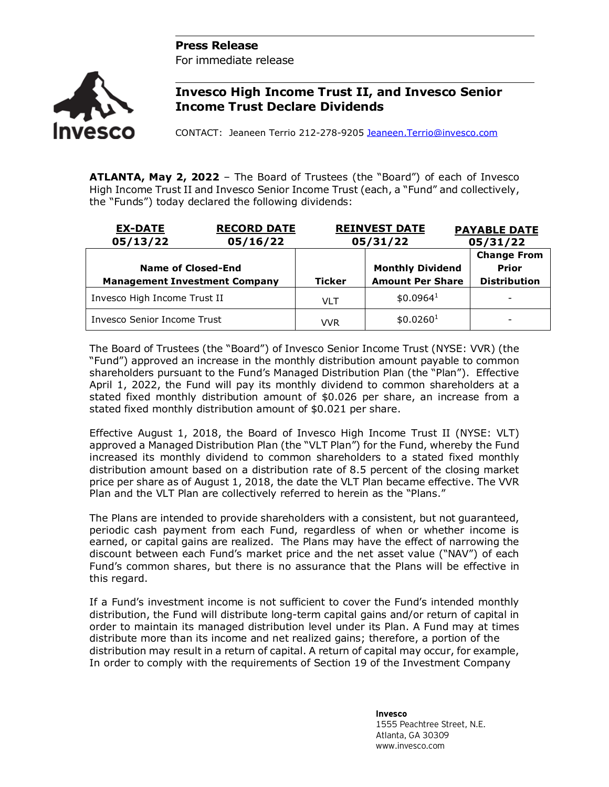## **Press Release**

For immediate release



## **Invesco High Income Trust II, and Invesco Senior Income Trust Declare Dividends**

CONTACT: Jeaneen Terrio 212-278-9205 [Jeaneen.Terrio@invesco.com](mailto:Jeaneen.Terrio@invesco.com) 

**ATLANTA, May 2, 2022** – The Board of Trustees (the "Board") of each of Invesco High Income Trust II and Invesco Senior Income Trust (each, a "Fund" and collectively, the "Funds") today declared the following dividends:

| <b>RECORD DATE</b><br><b>EX-DATE</b><br>05/13/22<br>05/16/22 |  | <b>REINVEST DATE</b><br>05/31/22 |                                                    | <b>PAYABLE DATE</b><br>05/31/22                           |
|--------------------------------------------------------------|--|----------------------------------|----------------------------------------------------|-----------------------------------------------------------|
| Name of Closed-End<br><b>Management Investment Company</b>   |  | <b>Ticker</b>                    | <b>Monthly Dividend</b><br><b>Amount Per Share</b> | <b>Change From</b><br><b>Prior</b><br><b>Distribution</b> |
| Invesco High Income Trust II                                 |  | <b>VLT</b>                       | \$0.0964 <sup>1</sup>                              | $\overline{\phantom{a}}$                                  |
| Invesco Senior Income Trust                                  |  | VVR                              | \$0.0260 <sup>1</sup>                              | -                                                         |

The Board of Trustees (the "Board") of Invesco Senior Income Trust (NYSE: VVR) (the "Fund") approved an increase in the monthly distribution amount payable to common shareholders pursuant to the Fund's Managed Distribution Plan (the "Plan"). Effective April 1, 2022, the Fund will pay its monthly dividend to common shareholders at a stated fixed monthly distribution amount of \$0.026 per share, an increase from a stated fixed monthly distribution amount of \$0.021 per share.

Effective August 1, 2018, the Board of Invesco High Income Trust II (NYSE: VLT) approved a Managed Distribution Plan (the "VLT Plan") for the Fund, whereby the Fund increased its monthly dividend to common shareholders to a stated fixed monthly distribution amount based on a distribution rate of 8.5 percent of the closing market price per share as of August 1, 2018, the date the VLT Plan became effective. The VVR Plan and the VLT Plan are collectively referred to herein as the "Plans."

The Plans are intended to provide shareholders with a consistent, but not guaranteed, periodic cash payment from each Fund, regardless of when or whether income is earned, or capital gains are realized. The Plans may have the effect of narrowing the discount between each Fund's market price and the net asset value ("NAV") of each Fund's common shares, but there is no assurance that the Plans will be effective in this regard.

If a Fund's investment income is not sufficient to cover the Fund's intended monthly distribution, the Fund will distribute long-term capital gains and/or return of capital in order to maintain its managed distribution level under its Plan. A Fund may at times distribute more than its income and net realized gains; therefore, a portion of the distribution may result in a return of capital. A return of capital may occur, for example, In order to comply with the requirements of Section 19 of the Investment Company

> **Invesco** 1555 Peachtree Street, N.E. Atlanta, GA 30309 www.invesco.com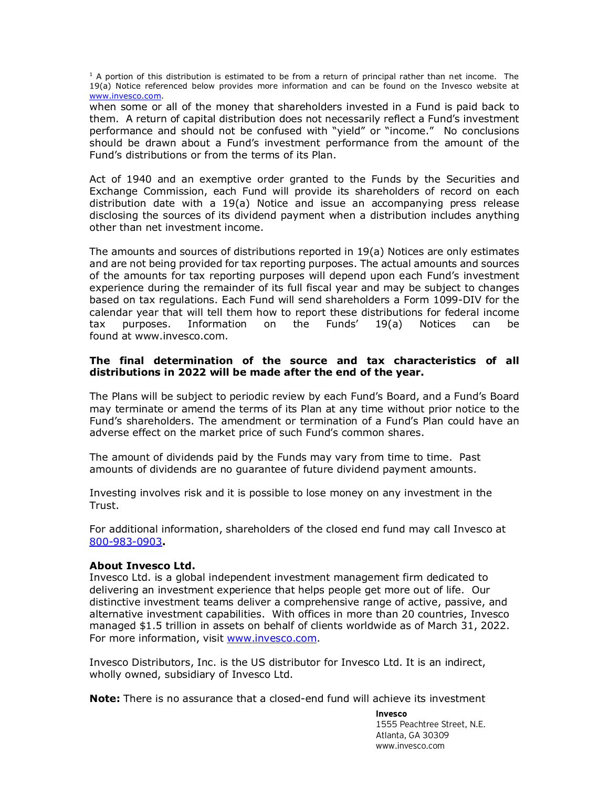$1$  A portion of this distribution is estimated to be from a return of principal rather than net income. The 19(a) Notice referenced below provides more information and can be found on the Invesco website at [www.invesco.com.](http://www.invesco.com/)

when some or all of the money that shareholders invested in a Fund is paid back to them. A return of capital distribution does not necessarily reflect a Fund's investment performance and should not be confused with "yield" or "income." No conclusions should be drawn about a Fund's investment performance from the amount of the Fund's distributions or from the terms of its Plan.

Act of 1940 and an exemptive order granted to the Funds by the Securities and Exchange Commission, each Fund will provide its shareholders of record on each distribution date with a 19(a) Notice and issue an accompanying press release disclosing the sources of its dividend payment when a distribution includes anything other than net investment income.

The amounts and sources of distributions reported in 19(a) Notices are only estimates and are not being provided for tax reporting purposes. The actual amounts and sources of the amounts for tax reporting purposes will depend upon each Fund's investment experience during the remainder of its full fiscal year and may be subject to changes based on tax regulations. Each Fund will send shareholders a Form 1099-DIV for the calendar year that will tell them how to report these distributions for federal income tax purposes. Information on the Funds' 19(a) Notices can be found at www.invesco.com.

## **The final determination of the source and tax characteristics of all distributions in 2022 will be made after the end of the year.**

The Plans will be subject to periodic review by each Fund's Board, and a Fund's Board may terminate or amend the terms of its Plan at any time without prior notice to the Fund's shareholders. The amendment or termination of a Fund's Plan could have an adverse effect on the market price of such Fund's common shares.

The amount of dividends paid by the Funds may vary from time to time. Past amounts of dividends are no guarantee of future dividend payment amounts.

Investing involves risk and it is possible to lose money on any investment in the Trust.

For additional information, shareholders of the closed end fund may call Invesco at 800-983-0903**.**

## **About Invesco Ltd.**

Invesco Ltd. is a global independent investment management firm dedicated to delivering an investment experience that helps people get more out of life. Our distinctive investment teams deliver a comprehensive range of active, passive, and alternative investment capabilities. With offices in more than 20 countries, Invesco managed \$1.5 trillion in assets on behalf of clients worldwide as of March 31, 2022. For more information, visit [www.invesco.com.](http://www.invesco.com/)

Invesco Distributors, Inc. is the US distributor for Invesco Ltd. It is an indirect, wholly owned, subsidiary of Invesco Ltd.

**Note:** There is no assurance that a closed-end fund will achieve its investment

**Invesco** 1555 Peachtree Street, N.E. Atlanta, GA 30309 www.invesco.com